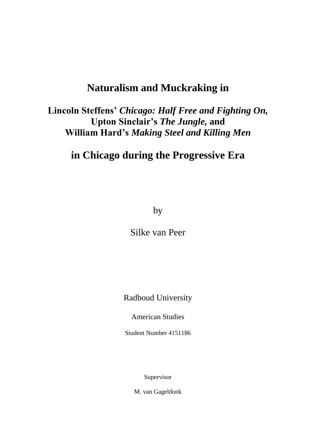# **Naturalism and Muckraking in**

**Lincoln Steffens'** *Chicago: Half Free and Fighting On,* **Upton Sinclair's** *The Jungle,* **and William Hard's** *Making Steel and Killing Men*

# **in Chicago during the Progressive Era**

by

Silke van Peer

Radboud University

American Studies

Student Number 4151186

Supervisor

M. van Gageldonk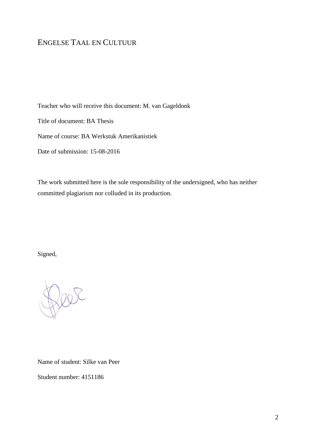# ENGELSE TAAL EN CULTUUR

Teacher who will receive this document: M. van Gageldonk

Title of document: BA Thesis

Name of course: BA Werkstuk Amerikanistiek

Date of submission: 15-08-2016

The work submitted here is the sole responsibility of the undersigned, who has neither committed plagiarism nor colluded in its production.

Signed,

Name of student: Silke van Peer

Student number: 4151186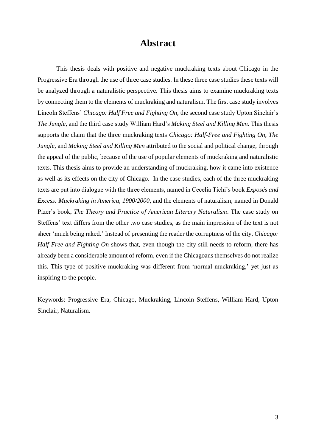# **Abstract**

This thesis deals with positive and negative muckraking texts about Chicago in the Progressive Era through the use of three case studies. In these three case studies these texts will be analyzed through a naturalistic perspective. This thesis aims to examine muckraking texts by connecting them to the elements of muckraking and naturalism. The first case study involves Lincoln Steffens' *Chicago: Half Free and Fighting On,* the second case study Upton Sinclair's *The Jungle,* and the third case study William Hard's *Making Steel and Killing Men.* This thesis supports the claim that the three muckraking texts *Chicago: Half-Free and Fighting On*, *The Jungle,* and *Making Steel and Killing Men* attributed to the social and political change, through the appeal of the public, because of the use of popular elements of muckraking and naturalistic texts. This thesis aims to provide an understanding of muckraking, how it came into existence as well as its effects on the city of Chicago. In the case studies, each of the three muckraking texts are put into dialogue with the three elements, named in Cecelia Tichi's book *Exposés and Excess: Muckraking in America, 1900/2000,* and the elements of naturalism, named in Donald Pizer's book, *The Theory and Practice of American Literary Naturalism*. The case study on Steffens' text differs from the other two case studies, as the main impression of the text is not sheer 'muck being raked.' Instead of presenting the reader the corruptness of the city, *Chicago: Half Free and Fighting On* shows that, even though the city still needs to reform, there has already been a considerable amount of reform, even if the Chicagoans themselves do not realize this. This type of positive muckraking was different from 'normal muckraking,' yet just as inspiring to the people.

Keywords: Progressive Era, Chicago, Muckraking, Lincoln Steffens, William Hard, Upton Sinclair, Naturalism.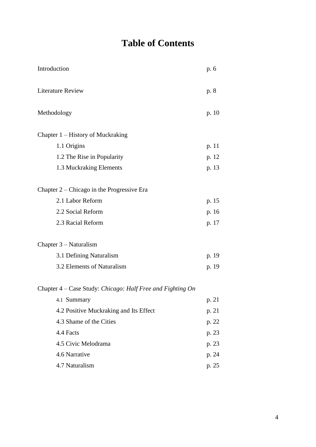# **Table of Contents**

| Introduction                                               | p. 6  |
|------------------------------------------------------------|-------|
| <b>Literature Review</b>                                   | p. 8  |
| Methodology                                                | p. 10 |
| Chapter 1 – History of Muckraking                          |       |
| 1.1 Origins                                                | p. 11 |
| 1.2 The Rise in Popularity                                 | p. 12 |
| 1.3 Muckraking Elements                                    | p. 13 |
| Chapter $2$ – Chicago in the Progressive Era               |       |
| 2.1 Labor Reform                                           | p. 15 |
| 2.2 Social Reform                                          | p. 16 |
| 2.3 Racial Reform                                          | p. 17 |
| Chapter $3 - Naturalism$                                   |       |
| 3.1 Defining Naturalism                                    | p. 19 |
| 3.2 Elements of Naturalism                                 | p. 19 |
| Chapter 4 – Case Study: Chicago: Half Free and Fighting On |       |
| 4.1 Summary                                                | p. 21 |
| 4.2 Positive Muckraking and Its Effect                     | p. 21 |
| 4.3 Shame of the Cities                                    | p. 22 |
| 4.4 Facts                                                  | p. 23 |
| 4.5 Civic Melodrama                                        | p. 23 |
| 4.6 Narrative                                              | p. 24 |
| 4.7 Naturalism                                             | p. 25 |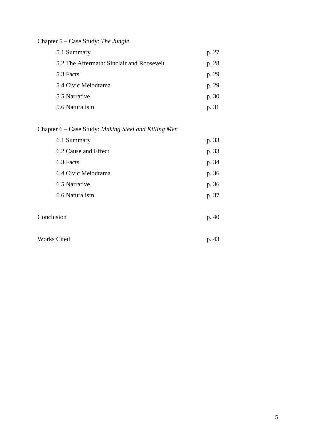| p. 27 |
|-------|
|       |
| p. 28 |
| p. 29 |
| p. 29 |
| p. 30 |
| p. 31 |
|       |

# Chapter 5 – Case Study: *The Jungle*

# Chapter 6 – Case Study: *Making Steel and Killing Men*

| 6.1 Summary          | p. 33 |
|----------------------|-------|
| 6.2 Cause and Effect | p. 33 |
| 6.3 Facts            | p. 34 |
| 6.4 Civic Melodrama  | p. 36 |
| 6.5 Narrative        | p. 36 |
| 6.6 Naturalism       | p. 37 |
|                      |       |

| Conclusion         | p. 40 |
|--------------------|-------|
|                    |       |
| <b>Works Cited</b> | p. 43 |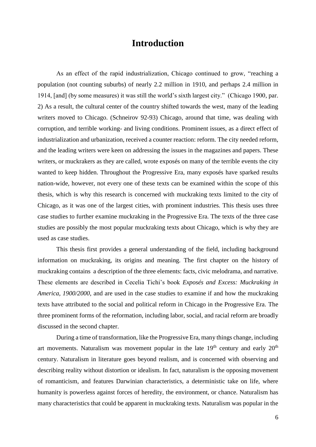# **Introduction**

As an effect of the rapid industrialization, Chicago continued to grow, "reaching a population (not counting suburbs) of nearly 2.2 million in 1910, and perhaps 2.4 million in 1914, [and] (by some measures) it was still the world's sixth largest city." (Chicago 1900, par. 2) As a result, the cultural center of the country shifted towards the west, many of the leading writers moved to Chicago. (Schneirov 92-93) Chicago, around that time, was dealing with corruption, and terrible working- and living conditions. Prominent issues, as a direct effect of industrialization and urbanization, received a counter reaction: reform. The city needed reform, and the leading writers were keen on addressing the issues in the magazines and papers. These writers, or muckrakers as they are called, wrote exposés on many of the terrible events the city wanted to keep hidden. Throughout the Progressive Era, many exposés have sparked results nation-wide, however, not every one of these texts can be examined within the scope of this thesis, which is why this research is concerned with muckraking texts limited to the city of Chicago, as it was one of the largest cities, with prominent industries. This thesis uses three case studies to further examine muckraking in the Progressive Era. The texts of the three case studies are possibly the most popular muckraking texts about Chicago, which is why they are used as case studies.

This thesis first provides a general understanding of the field, including background information on muckraking, its origins and meaning. The first chapter on the history of muckraking contains a description of the three elements: facts, civic melodrama, and narrative. These elements are described in Cecelia Tichi's book *Exposés and Excess: Muckraking in America, 1900/2000,* and are used in the case studies to examine if and how the muckraking texts have attributed to the social and political reform in Chicago in the Progressive Era. The three prominent forms of the reformation, including labor, social, and racial reform are broadly discussed in the second chapter.

During a time of transformation, like the Progressive Era, many things change, including art movements. Naturalism was movement popular in the late  $19<sup>th</sup>$  century and early  $20<sup>th</sup>$ century. Naturalism in literature goes beyond realism, and is concerned with observing and describing reality without distortion or idealism. In fact, naturalism is the opposing movement of romanticism, and features Darwinian characteristics, a deterministic take on life, where humanity is powerless against forces of heredity, the environment, or chance. Naturalism has many characteristics that could be apparent in muckraking texts. Naturalism was popular in the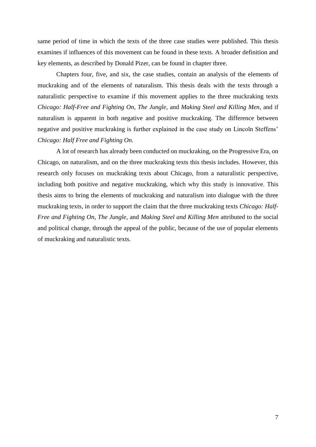same period of time in which the texts of the three case studies were published. This thesis examines if influences of this movement can be found in these texts. A broader definition and key elements, as described by Donald Pizer, can be found in chapter three.

Chapters four, five, and six, the case studies, contain an analysis of the elements of muckraking and of the elements of naturalism. This thesis deals with the texts through a naturalistic perspective to examine if this movement applies to the three muckraking texts *Chicago: Half-Free and Fighting On*, *The Jungle,* and *Making Steel and Killing Men*, and if naturalism is apparent in both negative and positive muckraking. The difference between negative and positive muckraking is further explained in the case study on Lincoln Steffens' *Chicago: Half Free and Fighting On*.

A lot of research has already been conducted on muckraking, on the Progressive Era, on Chicago, on naturalism, and on the three muckraking texts this thesis includes. However, this research only focuses on muckraking texts about Chicago, from a naturalistic perspective, including both positive and negative muckraking, which why this study is innovative. This thesis aims to bring the elements of muckraking and naturalism into dialogue with the three muckraking texts, in order to support the claim that the three muckraking texts *Chicago: Half-Free and Fighting On*, *The Jungle,* and *Making Steel and Killing Men* attributed to the social and political change, through the appeal of the public, because of the use of popular elements of muckraking and naturalistic texts.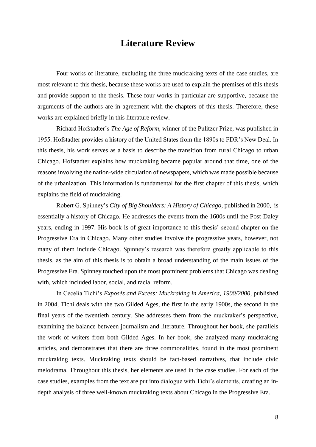# **Literature Review**

Four works of literature, excluding the three muckraking texts of the case studies, are most relevant to this thesis, because these works are used to explain the premises of this thesis and provide support to the thesis. These four works in particular are supportive, because the arguments of the authors are in agreement with the chapters of this thesis. Therefore, these works are explained briefly in this literature review.

Richard Hofstadter's *The Age of Reform*, winner of the Pulitzer Prize, was published in 1955. Hofstadter provides a history of the United States from the 1890s to FDR's New Deal. In this thesis, his work serves as a basis to describe the transition from rural Chicago to urban Chicago. Hofstadter explains how muckraking became popular around that time, one of the reasons involving the nation-wide circulation of newspapers, which was made possible because of the urbanization. This information is fundamental for the first chapter of this thesis, which explains the field of muckraking.

Robert G. Spinney's *City of Big Shoulders: A History of Chicago,* published in 2000, is essentially a history of Chicago. He addresses the events from the 1600s until the Post-Daley years, ending in 1997. His book is of great importance to this thesis' second chapter on the Progressive Era in Chicago. Many other studies involve the progressive years, however, not many of them include Chicago. Spinney's research was therefore greatly applicable to this thesis, as the aim of this thesis is to obtain a broad understanding of the main issues of the Progressive Era. Spinney touched upon the most prominent problems that Chicago was dealing with, which included labor, social, and racial reform.

In Cecelia Tichi's *Exposés and Excess: Muckraking in America, 1900/2000*, published in 2004, Tichi deals with the two Gilded Ages, the first in the early 1900s, the second in the final years of the twentieth century. She addresses them from the muckraker's perspective, examining the balance between journalism and literature. Throughout her book, she parallels the work of writers from both Gilded Ages. In her book, she analyzed many muckraking articles, and demonstrates that there are three commonalities, found in the most prominent muckraking texts. Muckraking texts should be fact-based narratives, that include civic melodrama. Throughout this thesis, her elements are used in the case studies. For each of the case studies, examples from the text are put into dialogue with Tichi's elements, creating an indepth analysis of three well-known muckraking texts about Chicago in the Progressive Era.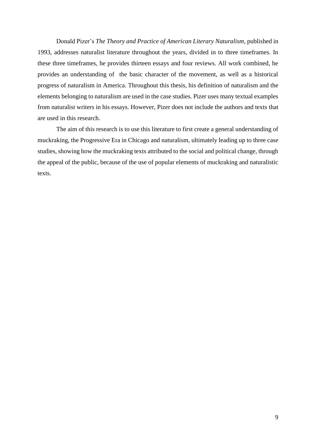Donald Pizer's *The Theory and Practice of American Literary Naturalism*, published in 1993, addresses naturalist literature throughout the years, divided in to three timeframes. In these three timeframes, he provides thirteen essays and four reviews. All work combined, he provides an understanding of the basic character of the movement, as well as a historical progress of naturalism in America. Throughout this thesis, his definition of naturalism and the elements belonging to naturalism are used in the case studies. Pizer uses many textual examples from naturalist writers in his essays. However, Pizer does not include the authors and texts that are used in this research.

The aim of this research is to use this literature to first create a general understanding of muckraking, the Progressive Era in Chicago and naturalism, ultimately leading up to three case studies, showing how the muckraking texts attributed to the social and political change, through the appeal of the public, because of the use of popular elements of muckraking and naturalistic texts.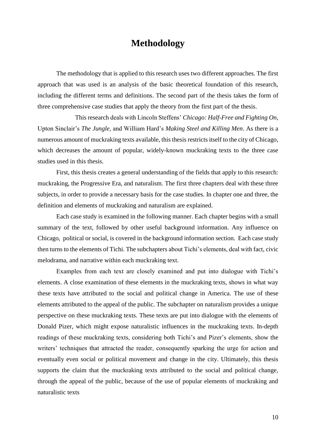# **Methodology**

The methodology that is applied to this research uses two different approaches. The first approach that was used is an analysis of the basic theoretical foundation of this research, including the different terms and definitions. The second part of the thesis takes the form of three comprehensive case studies that apply the theory from the first part of the thesis.

This research deals with Lincoln Steffens' *Chicago: Half-Free and Fighting On*, Upton Sinclair's *The Jungle,* and William Hard's *Making Steel and Killing Men*. As there is a numerous amount of muckraking texts available, this thesis restricts itself to the city of Chicago, which decreases the amount of popular, widely-known muckraking texts to the three case studies used in this thesis.

First, this thesis creates a general understanding of the fields that apply to this research: muckraking, the Progressive Era, and naturalism. The first three chapters deal with these three subjects, in order to provide a necessary basis for the case studies. In chapter one and three, the definition and elements of muckraking and naturalism are explained.

Each case study is examined in the following manner. Each chapter begins with a small summary of the text, followed by other useful background information. Any influence on Chicago, political or social, is covered in the background information section. Each case study then turns to the elements of Tichi. The subchapters about Tichi's elements, deal with fact, civic melodrama, and narrative within each muckraking text.

Examples from each text are closely examined and put into dialogue with Tichi's elements. A close examination of these elements in the muckraking texts, shows in what way these texts have attributed to the social and political change in America. The use of these elements attributed to the appeal of the public. The subchapter on naturalism provides a unique perspective on these muckraking texts. These texts are put into dialogue with the elements of Donald Pizer, which might expose naturalistic influences in the muckraking texts. In-depth readings of these muckraking texts, considering both Tichi's and Pizer's elements, show the writers' techniques that attracted the reader, consequently sparking the urge for action and eventually even social or political movement and change in the city. Ultimately, this thesis supports the claim that the muckraking texts attributed to the social and political change, through the appeal of the public, because of the use of popular elements of muckraking and naturalistic texts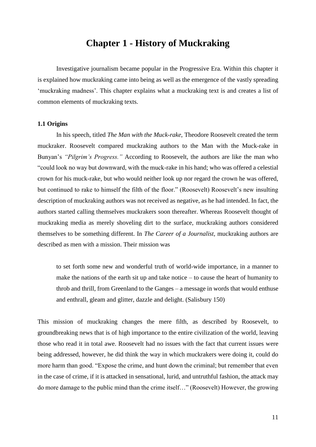# **Chapter 1 - History of Muckraking**

Investigative journalism became popular in the Progressive Era. Within this chapter it is explained how muckraking came into being as well as the emergence of the vastly spreading 'muckraking madness'. This chapter explains what a muckraking text is and creates a list of common elements of muckraking texts.

### **1.1 Origins**

In his speech, titled *The Man with the Muck-rake*, Theodore Roosevelt created the term muckraker. Roosevelt compared muckraking authors to the Man with the Muck-rake in Bunyan's *"Pilgrim's Progress."* According to Roosevelt, the authors are like the man who "could look no way but downward, with the muck-rake in his hand; who was offered a celestial crown for his muck-rake, but who would neither look up nor regard the crown he was offered, but continued to rake to himself the filth of the floor." (Roosevelt) Roosevelt's new insulting description of muckraking authors was not received as negative, as he had intended. In fact, the authors started calling themselves muckrakers soon thereafter. Whereas Roosevelt thought of muckraking media as merely shoveling dirt to the surface, muckraking authors considered themselves to be something different. In *The Career of a Journalist,* muckraking authors are described as men with a mission. Their mission was

to set forth some new and wonderful truth of world-wide importance, in a manner to make the nations of the earth sit up and take notice – to cause the heart of humanity to throb and thrill, from Greenland to the Ganges – a message in words that would enthuse and enthrall, gleam and glitter, dazzle and delight. (Salisbury 150)

This mission of muckraking changes the mere filth, as described by Roosevelt, to groundbreaking news that is of high importance to the entire civilization of the world, leaving those who read it in total awe. Roosevelt had no issues with the fact that current issues were being addressed, however, he did think the way in which muckrakers were doing it, could do more harm than good. "Expose the crime, and hunt down the criminal; but remember that even in the case of crime, if it is attacked in sensational, lurid, and untruthful fashion, the attack may do more damage to the public mind than the crime itself…" (Roosevelt) However, the growing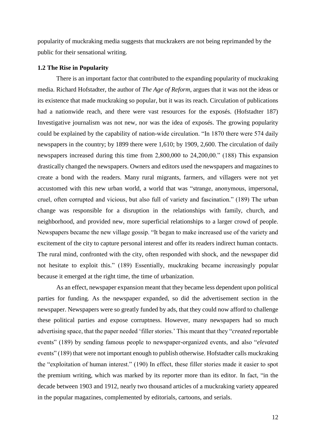popularity of muckraking media suggests that muckrakers are not being reprimanded by the public for their sensational writing.

#### **1.2 The Rise in Popularity**

There is an important factor that contributed to the expanding popularity of muckraking media. Richard Hofstadter, the author of *The Age of Reform*, argues that it was not the ideas or its existence that made muckraking so popular, but it was its reach. Circulation of publications had a nationwide reach, and there were vast resources for the exposés. (Hofstadter 187) Investigative journalism was not new, nor was the idea of exposés. The growing popularity could be explained by the capability of nation-wide circulation. "In 1870 there were 574 daily newspapers in the country; by 1899 there were 1,610; by 1909, 2,600. The circulation of daily newspapers increased during this time from 2,800,000 to 24,200,00." (188) This expansion drastically changed the newspapers. Owners and editors used the newspapers and magazines to create a bond with the readers. Many rural migrants, farmers, and villagers were not yet accustomed with this new urban world, a world that was "strange, anonymous, impersonal, cruel, often corrupted and vicious, but also full of variety and fascination." (189) The urban change was responsible for a disruption in the relationships with family, church, and neighborhood, and provided new, more superficial relationships to a larger crowd of people. Newspapers became the new village gossip. "It began to make increased use of the variety and excitement of the city to capture personal interest and offer its readers indirect human contacts. The rural mind, confronted with the city, often responded with shock, and the newspaper did not hesitate to exploit this." (189) Essentially, muckraking became increasingly popular because it emerged at the right time, the time of urbanization.

As an effect, newspaper expansion meant that they became less dependent upon political parties for funding. As the newspaper expanded, so did the advertisement section in the newspaper. Newspapers were so greatly funded by ads, that they could now afford to challenge these political parties and expose corruptness. However, many newspapers had so much advertising space, that the paper needed 'filler stories.' This meant that they "*created* reportable events" (189) by sending famous people to newspaper-organized events, and also "*elevated* events" (189) that were not important enough to publish otherwise. Hofstadter calls muckraking the "exploitation of human interest." (190) In effect, these filler stories made it easier to spot the premium writing, which was marked by its reporter more than its editor. In fact, "in the decade between 1903 and 1912, nearly two thousand articles of a muckraking variety appeared in the popular magazines, complemented by editorials, cartoons, and serials.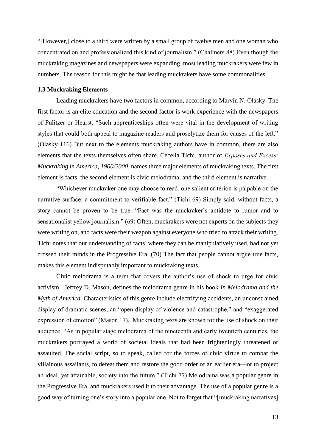"[However,] close to a third were written by a small group of twelve men and one woman who concentrated on and professionalized this kind of journalism." (Chalmers 88) Even though the muckraking magazines and newspapers were expanding, most leading muckrakers were few in numbers. The reason for this might be that leading muckrakers have some commonalities.

### **1.3 Muckraking Elements**

Leading muckrakers have two factors in common, according to Marvin N. Olasky. The first factor is an elite education and the second factor is work experience with the newspapers of Pulitzer or Hearst. "Such apprenticeships often were vital in the development of writing styles that could both appeal to magazine readers and proselytize them for causes of the left." (Olasky 116) But next to the elements muckraking authors have in common, there are also elements that the texts themselves often share. Cecelia Tichi, author of *Exposés and Excess: Muckraking in America, 1900/2000,* names three major elements of muckraking texts. The first element is facts, the second element is civic melodrama, and the third element is narrative.

"Whichever muckraker one may choose to read, one salient criterion is palpable on the narrative surface: a commitment to verifiable fact." (Tichi 69) Simply said, without facts, a story cannot be proven to be true. "Fact was the muckraker's antidote to rumor and to sensationalist yellow journalism." (69) Often, muckrakers were not experts on the subjects they were writing on, and facts were their weapon against everyone who tried to attack their writing. Tichi notes that our understanding of facts, where they can be manipulatively used, had not yet crossed their minds in the Progressive Era. (70) The fact that people cannot argue true facts, makes this element indisputably important to muckraking texts.

Civic melodrama is a term that covers the author's use of shock to urge for civic activism. Jeffrey D. Mason, defines the melodrama genre in his book *In Melodrama and the Myth of America*. Characteristics of this genre include electrifying accidents, an unconstrained display of dramatic scenes, an "open display of violence and catastrophe," and "exaggerated expression of emotion" (Mason 17). Muckraking texts are known for the use of shock on their audience. "As in popular stage melodrama of the nineteenth and early twentieth centuries, the muckrakers portrayed a world of societal ideals that had been frighteningly threatened or assaulted. The social script, so to speak, called for the forces of civic virtue to combat the villainous assailants, to defeat them and restore the good order of an earlier era—or to project an ideal, yet attainable, society into the future." (Tichi 77) Melodrama was a popular genre in the Progressive Era, and muckrakers used it to their advantage. The use of a popular genre is a good way of turning one's story into a popular one. Not to forget that "[muckraking narratives]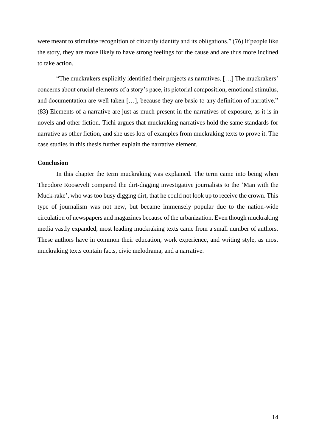were meant to stimulate recognition of citizenly identity and its obligations." (76) If people like the story, they are more likely to have strong feelings for the cause and are thus more inclined to take action.

"The muckrakers explicitly identified their projects as narratives. […] The muckrakers' concerns about crucial elements of a story's pace, its pictorial composition, emotional stimulus, and documentation are well taken […], because they are basic to any definition of narrative." (83) Elements of a narrative are just as much present in the narratives of exposure, as it is in novels and other fiction. Tichi argues that muckraking narratives hold the same standards for narrative as other fiction, and she uses lots of examples from muckraking texts to prove it. The case studies in this thesis further explain the narrative element.

### **Conclusion**

In this chapter the term muckraking was explained. The term came into being when Theodore Roosevelt compared the dirt-digging investigative journalists to the 'Man with the Muck-rake', who was too busy digging dirt, that he could not look up to receive the crown. This type of journalism was not new, but became immensely popular due to the nation-wide circulation of newspapers and magazines because of the urbanization. Even though muckraking media vastly expanded, most leading muckraking texts came from a small number of authors. These authors have in common their education, work experience, and writing style, as most muckraking texts contain facts, civic melodrama, and a narrative.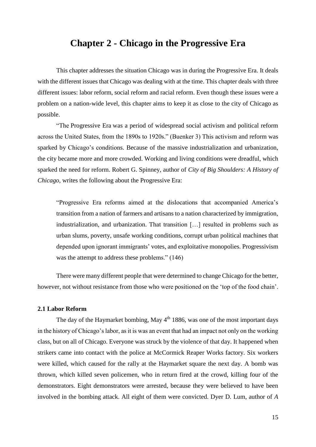# **Chapter 2 - Chicago in the Progressive Era**

This chapter addresses the situation Chicago was in during the Progressive Era. It deals with the different issues that Chicago was dealing with at the time. This chapter deals with three different issues: labor reform, social reform and racial reform. Even though these issues were a problem on a nation-wide level, this chapter aims to keep it as close to the city of Chicago as possible.

"The Progressive Era was a period of widespread social activism and political reform across the United States, from the 1890s to 1920s." (Buenker 3) This activism and reform was sparked by Chicago's conditions. Because of the massive industrialization and urbanization, the city became more and more crowded. Working and living conditions were dreadful, which sparked the need for reform. Robert G. Spinney, author of *City of Big Shoulders: A History of Chicago*, writes the following about the Progressive Era:

"Progressive Era reforms aimed at the dislocations that accompanied America's transition from a nation of farmers and artisans to a nation characterized by immigration, industrialization, and urbanization. That transition […] resulted in problems such as urban slums, poverty, unsafe working conditions, corrupt urban political machines that depended upon ignorant immigrants' votes, and exploitative monopolies. Progressivism was the attempt to address these problems." (146)

There were many different people that were determined to change Chicago for the better, however, not without resistance from those who were positioned on the 'top of the food chain'.

#### **2.1 Labor Reform**

The day of the Haymarket bombing, May  $4<sup>th</sup>$  1886, was one of the most important days in the history of Chicago's labor, as it is was an event that had an impact not only on the working class, but on all of Chicago. Everyone was struck by the violence of that day. It happened when strikers came into contact with the police at McCormick Reaper Works factory. Six workers were killed, which caused for the rally at the Haymarket square the next day. A bomb was thrown, which killed seven policemen, who in return fired at the crowd, killing four of the demonstrators. Eight demonstrators were arrested, because they were believed to have been involved in the bombing attack. All eight of them were convicted. Dyer D. Lum, author of *A*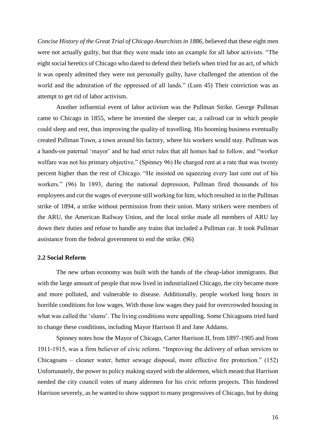*Concise History of the Great Trial of Chicago Anarchists in 1886*, believed that these eight men were not actually guilty, but that they were made into an example for all labor activists. "The eight social heretics of Chicago who dared to defend their beliefs when tried for an act, of which it was openly admitted they were not personally guilty, have challenged the attention of the world and the admiration of the oppressed of all lands." (Lum 45) Their conviction was an attempt to get rid of labor activism.

Another influential event of labor activism was the Pullman Strike. George Pullman came to Chicago in 1855, where he invented the sleeper car, a railroad car in which people could sleep and rest, thus improving the quality of travelling. His booming business eventually created Pullman Town, a town around his factory, where his workers would stay. Pullman was a hands-on paternal 'mayor' and he had strict rules that all homes had to follow, and "worker welfare was not his primary objective." (Spinney 96) He charged rent at a rate that was twenty percent higher than the rest of Chicago. "He insisted on squeezing every last cent out of his workers." (96) In 1893, during the national depression, Pullman fired thousands of his employees and cut the wages of everyone still working for him, which resulted in in the Pullman strike of 1894, a strike without permission from their union. Many strikers were members of the ARU, the American Railway Union, and the local strike made all members of ARU lay down their duties and refuse to handle any trains that included a Pullman car. It took Pullman assistance from the federal government to end the strike. (96)

#### **2.2 Social Reform**

The new urban economy was built with the hands of the cheap-labor immigrants. But with the large amount of people that now lived in industrialized Chicago, the city became more and more polluted, and vulnerable to disease. Additionally, people worked long hours in horrible conditions for low wages. With those low wages they paid for overcrowded housing in what was called the 'slums'. The living conditions were appalling. Some Chicagoans tried hard to change these conditions, including Mayor Harrison II and Jane Addams.

Spinney notes how the Mayor of Chicago, Carter Harrison II, from 1897-1905 and from 1911-1915, was a firm believer of civic reform. "Improving the delivery of urban services to Chicagoans – cleaner water, better sewage disposal, more effective fire protection." (152) Unfortunately, the power to policy making stayed with the aldermen, which meant that Harrison needed the city council votes of many aldermen for his civic reform projects. This hindered Harrison severely, as he wanted to show support to many progressives of Chicago, but by doing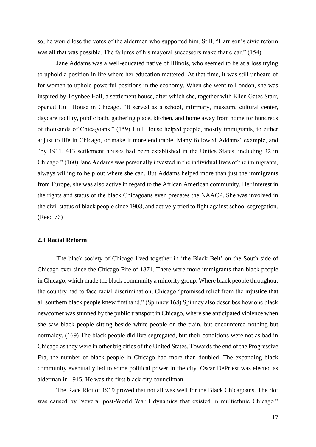so, he would lose the votes of the aldermen who supported him. Still, "Harrison's civic reform was all that was possible. The failures of his mayoral successors make that clear." (154)

Jane Addams was a well-educated native of Illinois, who seemed to be at a loss trying to uphold a position in life where her education mattered. At that time, it was still unheard of for women to uphold powerful positions in the economy. When she went to London, she was inspired by Toynbee Hall, a settlement house, after which she, together with Ellen Gates Starr, opened Hull House in Chicago. "It served as a school, infirmary, museum, cultural center, daycare facility, public bath, gathering place, kitchen, and home away from home for hundreds of thousands of Chicagoans." (159) Hull House helped people, mostly immigrants, to either adjust to life in Chicago, or make it more endurable. Many followed Addams' example, and "by 1911, 413 settlement houses had been established in the Unites States, including 32 in Chicago." (160) Jane Addams was personally invested in the individual lives of the immigrants, always willing to help out where she can. But Addams helped more than just the immigrants from Europe, she was also active in regard to the African American community. Her interest in the rights and status of the black Chicagoans even predates the NAACP. She was involved in the civil status of black people since 1903, and actively tried to fight against school segregation. (Reed 76)

#### **2.3 Racial Reform**

The black society of Chicago lived together in 'the Black Belt' on the South-side of Chicago ever since the Chicago Fire of 1871. There were more immigrants than black people in Chicago, which made the black community a minority group. Where black people throughout the country had to face racial discrimination, Chicago "promised relief from the injustice that all southern black people knew firsthand." (Spinney 168) Spinney also describes how one black newcomer was stunned by the public transport in Chicago, where she anticipated violence when she saw black people sitting beside white people on the train, but encountered nothing but normalcy. (169) The black people did live segregated, but their conditions were not as bad in Chicago as they were in other big cities of the United States. Towards the end of the Progressive Era, the number of black people in Chicago had more than doubled. The expanding black community eventually led to some political power in the city. Oscar DePriest was elected as alderman in 1915. He was the first black city councilman.

The Race Riot of 1919 proved that not all was well for the Black Chicagoans. The riot was caused by "several post-World War I dynamics that existed in multiethnic Chicago."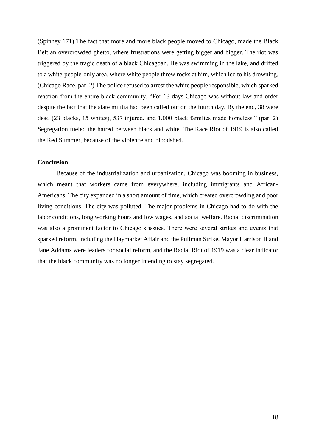(Spinney 171) The fact that more and more black people moved to Chicago, made the Black Belt an overcrowded ghetto, where frustrations were getting bigger and bigger. The riot was triggered by the tragic death of a black Chicagoan. He was swimming in the lake, and drifted to a white-people-only area, where white people threw rocks at him, which led to his drowning. (Chicago Race, par. 2) The police refused to arrest the white people responsible, which sparked reaction from the entire black community. "For 13 days Chicago was without law and order despite the fact that the state militia had been called out on the fourth day. By the end, 38 were dead (23 blacks, 15 whites), 537 injured, and 1,000 black families made homeless." (par. 2) Segregation fueled the hatred between black and white. The Race Riot of 1919 is also called the Red Summer, because of the violence and bloodshed.

### **Conclusion**

Because of the industrialization and urbanization, Chicago was booming in business, which meant that workers came from everywhere, including immigrants and African-Americans. The city expanded in a short amount of time, which created overcrowding and poor living conditions. The city was polluted. The major problems in Chicago had to do with the labor conditions, long working hours and low wages, and social welfare. Racial discrimination was also a prominent factor to Chicago's issues. There were several strikes and events that sparked reform, including the Haymarket Affair and the Pullman Strike. Mayor Harrison II and Jane Addams were leaders for social reform, and the Racial Riot of 1919 was a clear indicator that the black community was no longer intending to stay segregated.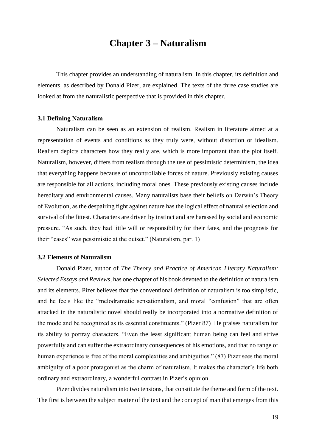# **Chapter 3 – Naturalism**

This chapter provides an understanding of naturalism. In this chapter, its definition and elements, as described by Donald Pizer, are explained. The texts of the three case studies are looked at from the naturalistic perspective that is provided in this chapter.

#### **3.1 Defining Naturalism**

Naturalism can be seen as an extension of realism. Realism in literature aimed at a representation of events and conditions as they truly were, without distortion or idealism. Realism depicts characters how they really are, which is more important than the plot itself. Naturalism, however, differs from realism through the use of pessimistic determinism, the idea that everything happens because of uncontrollable forces of nature. Previously existing causes are responsible for all actions, including moral ones. These previously existing causes include hereditary and environmental causes. Many naturalists base their beliefs on Darwin's Theory of Evolution, as the despairing fight against nature has the logical effect of natural selection and survival of the fittest. Characters are driven by instinct and are harassed by social and economic pressure. "As such, they had little will or responsibility for their fates, and the prognosis for their "cases" was pessimistic at the outset." (Naturalism, par. 1)

#### **3.2 Elements of Naturalism**

Donald Pizer, author of *The Theory and Practice of American Literary Naturalism: Selected Essays and Reviews*, has one chapter of his book devoted to the definition of naturalism and its elements. Pizer believes that the conventional definition of naturalism is too simplistic, and he feels like the "melodramatic sensationalism, and moral "confusion" that are often attacked in the naturalistic novel should really be incorporated into a normative definition of the mode and be recognized as its essential constituents." (Pizer 87) He praises naturalism for its ability to portray characters. "Even the least significant human being can feel and strive powerfully and can suffer the extraordinary consequences of his emotions, and that no range of human experience is free of the moral complexities and ambiguities." (87) Pizer sees the moral ambiguity of a poor protagonist as the charm of naturalism. It makes the character's life both ordinary and extraordinary, a wonderful contrast in Pizer's opinion.

Pizer divides naturalism into two tensions, that constitute the theme and form of the text. The first is between the subject matter of the text and the concept of man that emerges from this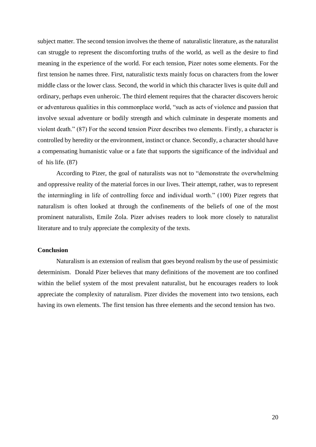subject matter. The second tension involves the theme of naturalistic literature, as the naturalist can struggle to represent the discomforting truths of the world, as well as the desire to find meaning in the experience of the world. For each tension, Pizer notes some elements. For the first tension he names three. First, naturalistic texts mainly focus on characters from the lower middle class or the lower class. Second, the world in which this character lives is quite dull and ordinary, perhaps even unheroic. The third element requires that the character discovers heroic or adventurous qualities in this commonplace world, "such as acts of violence and passion that involve sexual adventure or bodily strength and which culminate in desperate moments and violent death." (87) For the second tension Pizer describes two elements. Firstly, a character is controlled by heredity or the environment, instinct or chance. Secondly, a character should have a compensating humanistic value or a fate that supports the significance of the individual and of his life. (87)

According to Pizer, the goal of naturalists was not to "demonstrate the overwhelming and oppressive reality of the material forces in our lives. Their attempt, rather, was to represent the intermingling in life of controlling force and individual worth." (100) Pizer regrets that naturalism is often looked at through the confinements of the beliefs of one of the most prominent naturalists, Emile Zola. Pizer advises readers to look more closely to naturalist literature and to truly appreciate the complexity of the texts.

#### **Conclusion**

Naturalism is an extension of realism that goes beyond realism by the use of pessimistic determinism. Donald Pizer believes that many definitions of the movement are too confined within the belief system of the most prevalent naturalist, but he encourages readers to look appreciate the complexity of naturalism. Pizer divides the movement into two tensions, each having its own elements. The first tension has three elements and the second tension has two.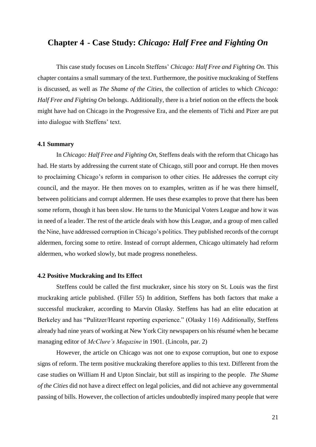## **Chapter 4 - Case Study:** *Chicago: Half Free and Fighting On*

This case study focuses on Lincoln Steffens' *Chicago: Half Free and Fighting On.* This chapter contains a small summary of the text. Furthermore, the positive muckraking of Steffens is discussed, as well as *The Shame of the Cities,* the collection of articles to which *Chicago: Half Free and Fighting On* belongs. Additionally, there is a brief notion on the effects the book might have had on Chicago in the Progressive Era, and the elements of Tichi and Pizer are put into dialogue with Steffens' text.

#### **4.1 Summary**

In *Chicago: Half Free and Fighting On,* Steffens deals with the reform that Chicago has had. He starts by addressing the current state of Chicago, still poor and corrupt. He then moves to proclaiming Chicago's reform in comparison to other cities. He addresses the corrupt city council, and the mayor. He then moves on to examples, written as if he was there himself, between politicians and corrupt aldermen. He uses these examples to prove that there has been some reform, though it has been slow. He turns to the Municipal Voters League and how it was in need of a leader. The rest of the article deals with how this League, and a group of men called the Nine, have addressed corruption in Chicago's politics. They published records of the corrupt aldermen, forcing some to retire. Instead of corrupt aldermen, Chicago ultimately had reform aldermen, who worked slowly, but made progress nonetheless.

#### **4.2 Positive Muckraking and Its Effect**

Steffens could be called the first muckraker, since his story on St. Louis was the first muckraking article published. (Filler 55) In addition, Steffens has both factors that make a successful muckraker, according to Marvin Olasky. Steffens has had an elite education at Berkeley and has "Pulitzer/Hearst reporting experience." (Olasky 116) Additionally, Steffens already had nine years of working at New York City newspapers on his résumé when he became managing editor of *McClure's Magazine* in 1901. (Lincoln, par. 2)

However, the article on Chicago was not one to expose corruption, but one to expose signs of reform. The term positive muckraking therefore applies to this text. Different from the case studies on William H and Upton Sinclair, but still as inspiring to the people. *The Shame of the Cities* did not have a direct effect on legal policies, and did not achieve any governmental passing of bills. However, the collection of articles undoubtedly inspired many people that were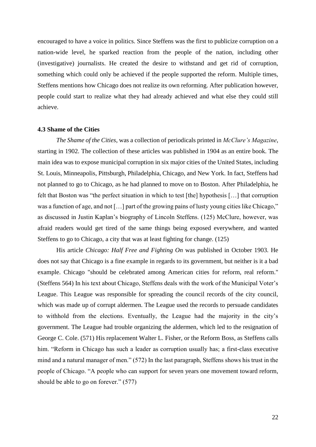encouraged to have a voice in politics. Since Steffens was the first to publicize corruption on a nation-wide level, he sparked reaction from the people of the nation, including other (investigative) journalists. He created the desire to withstand and get rid of corruption, something which could only be achieved if the people supported the reform. Multiple times, Steffens mentions how Chicago does not realize its own reforming. After publication however, people could start to realize what they had already achieved and what else they could still achieve.

#### **4.3 Shame of the Cities**

*The Shame of the Cities*, was a collection of periodicals printed in *McClure's Magazine*, starting in 1902. The collection of these articles was published in 1904 as an entire book. The main idea was to expose municipal corruption in six major cities of the United States, including St. Louis, Minneapolis, Pittsburgh, Philadelphia, Chicago, and New York. In fact, Steffens had not planned to go to Chicago, as he had planned to move on to Boston. After Philadelphia, he felt that Boston was "the perfect situation in which to test [the] hypothesis […] that corruption was a function of age, and not […] part of the growing pains of lusty young cities like Chicago," as discussed in Justin Kaplan's biography of Lincoln Steffens. (125) McClure, however, was afraid readers would get tired of the same things being exposed everywhere, and wanted Steffens to go to Chicago, a city that was at least fighting for change. (125)

His article *Chicago: Half Free and Fighting On* was published in October 1903. He does not say that Chicago is a fine example in regards to its government, but neither is it a bad example. Chicago "should be celebrated among American cities for reform, real reform." (Steffens 564) In his text about Chicago, Steffens deals with the work of the Municipal Voter's League. This League was responsible for spreading the council records of the city council, which was made up of corrupt aldermen. The League used the records to persuade candidates to withhold from the elections. Eventually, the League had the majority in the city's government. The League had trouble organizing the aldermen, which led to the resignation of George C. Cole. (571) His replacement Walter L. Fisher, or the Reform Boss, as Steffens calls him. "Reform in Chicago has such a leader as corruption usually has; a first-class executive mind and a natural manager of men." (572) In the last paragraph, Steffens shows his trust in the people of Chicago. "A people who can support for seven years one movement toward reform, should be able to go on forever." (577)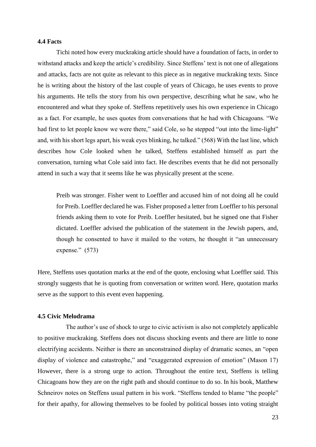### **4.4 Facts**

Tichi noted how every muckraking article should have a foundation of facts, in order to withstand attacks and keep the article's credibility. Since Steffens' text is not one of allegations and attacks, facts are not quite as relevant to this piece as in negative muckraking texts. Since he is writing about the history of the last couple of years of Chicago, he uses events to prove his arguments. He tells the story from his own perspective, describing what he saw, who he encountered and what they spoke of. Steffens repetitively uses his own experience in Chicago as a fact. For example, he uses quotes from conversations that he had with Chicagoans. "We had first to let people know we were there," said Cole, so he stepped "out into the lime-light" and, with his short legs apart, his weak eyes blinking, he talked." (568) With the last line, which describes how Cole looked when he talked, Steffens established himself as part the conversation, turning what Cole said into fact. He describes events that he did not personally attend in such a way that it seems like he was physically present at the scene.

Preib was stronger. Fisher went to Loeffler and accused him of not doing all he could for Preib. Loeffler declared he was. Fisher proposed a letter from Loeffler to his personal friends asking them to vote for Preib. Loeffler hesitated, but he signed one that Fisher dictated. Loeffler advised the publication of the statement in the Jewish papers, and, though he consented to have it mailed to the voters, he thought it "an unnecessary expense." (573)

Here, Steffens uses quotation marks at the end of the quote, enclosing what Loeffler said. This strongly suggests that he is quoting from conversation or written word. Here, quotation marks serve as the support to this event even happening.

### **4.5 Civic Melodrama**

The author's use of shock to urge to civic activism is also not completely applicable to positive muckraking. Steffens does not discuss shocking events and there are little to none electrifying accidents. Neither is there an unconstrained display of dramatic scenes, an "open display of violence and catastrophe," and "exaggerated expression of emotion" (Mason 17) However, there is a strong urge to action. Throughout the entire text, Steffens is telling Chicagoans how they are on the right path and should continue to do so. In his book, Matthew Schneirov notes on Steffens usual pattern in his work. "Steffens tended to blame "the people" for their apathy, for allowing themselves to be fooled by political bosses into voting straight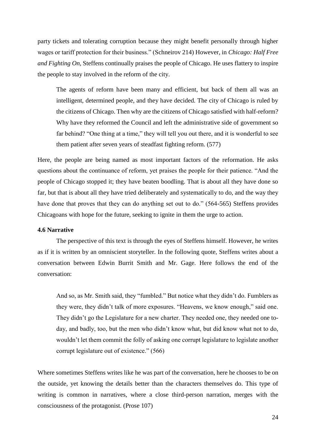party tickets and tolerating corruption because they might benefit personally through higher wages or tariff protection for their business." (Schneirov 214) However, in *Chicago: Half Free and Fighting On,* Steffens continually praises the people of Chicago. He uses flattery to inspire the people to stay involved in the reform of the city.

The agents of reform have been many and efficient, but back of them all was an intelligent, determined people, and they have decided. The city of Chicago is ruled by the citizens of Chicago. Then why are the citizens of Chicago satisfied with half-reform? Why have they reformed the Council and left the administrative side of government so far behind? "One thing at a time," they will tell you out there, and it is wonderful to see them patient after seven years of steadfast fighting reform. (577)

Here, the people are being named as most important factors of the reformation. He asks questions about the continuance of reform, yet praises the people for their patience. "And the people of Chicago stopped it; they have beaten boodling. That is about all they have done so far, but that is about all they have tried deliberately and systematically to do, and the way they have done that proves that they can do anything set out to do." (564-565) Steffens provides Chicagoans with hope for the future, seeking to ignite in them the urge to action.

### **4.6 Narrative**

The perspective of this text is through the eyes of Steffens himself. However, he writes as if it is written by an omniscient storyteller. In the following quote, Steffens writes about a conversation between Edwin Burrit Smith and Mr. Gage. Here follows the end of the conversation:

And so, as Mr. Smith said, they "fumbled." But notice what they didn't do. Fumblers as they were, they didn't talk of more exposures. "Heavens, we know enough," said one. They didn't go the Legislature for a new charter. They needed one, they needed one today, and badly, too, but the men who didn't know what, but did know what not to do, wouldn't let them commit the folly of asking one corrupt legislature to legislate another corrupt legislature out of existence." (566)

Where sometimes Steffens writes like he was part of the conversation, here he chooses to be on the outside, yet knowing the details better than the characters themselves do. This type of writing is common in narratives, where a close third-person narration, merges with the consciousness of the protagonist. (Prose 107)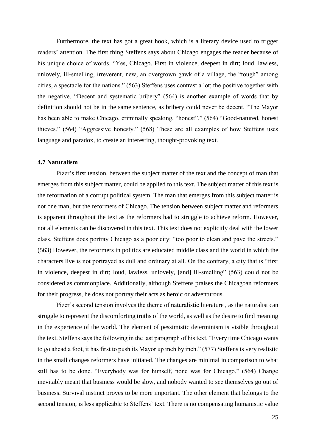Furthermore, the text has got a great hook, which is a literary device used to trigger readers' attention. The first thing Steffens says about Chicago engages the reader because of his unique choice of words. "Yes, Chicago. First in violence, deepest in dirt; loud, lawless, unlovely, ill-smelling, irreverent, new; an overgrown gawk of a village, the "tough" among cities, a spectacle for the nations." (563) Steffens uses contrast a lot; the positive together with the negative. "Decent and systematic bribery" (564) is another example of words that by definition should not be in the same sentence, as bribery could never be decent. "The Mayor has been able to make Chicago, criminally speaking, "honest"." (564) "Good-natured, honest thieves." (564) "Aggressive honesty." (568) These are all examples of how Steffens uses language and paradox, to create an interesting, thought-provoking text.

### **4.7 Naturalism**

Pizer's first tension, between the subject matter of the text and the concept of man that emerges from this subject matter, could be applied to this text. The subject matter of this text is the reformation of a corrupt political system. The man that emerges from this subject matter is not one man, but the reformers of Chicago. The tension between subject matter and reformers is apparent throughout the text as the reformers had to struggle to achieve reform. However, not all elements can be discovered in this text. This text does not explicitly deal with the lower class. Steffens does portray Chicago as a poor city: "too poor to clean and pave the streets." (563) However, the reformers in politics are educated middle class and the world in which the characters live is not portrayed as dull and ordinary at all. On the contrary, a city that is "first in violence, deepest in dirt; loud, lawless, unlovely, [and] ill-smelling" (563) could not be considered as commonplace. Additionally, although Steffens praises the Chicagoan reformers for their progress, he does not portray their acts as heroic or adventurous.

Pizer's second tension involves the theme of naturalistic literature , as the naturalist can struggle to represent the discomforting truths of the world, as well as the desire to find meaning in the experience of the world. The element of pessimistic determinism is visible throughout the text. Steffens says the following in the last paragraph of his text. "Every time Chicago wants to go ahead a foot, it has first to push its Mayor up inch by inch." (577) Steffens is very realistic in the small changes reformers have initiated. The changes are minimal in comparison to what still has to be done. "Everybody was for himself, none was for Chicago." (564) Change inevitably meant that business would be slow, and nobody wanted to see themselves go out of business. Survival instinct proves to be more important. The other element that belongs to the second tension, is less applicable to Steffens' text. There is no compensating humanistic value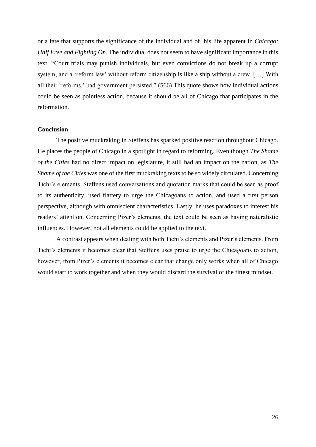or a fate that supports the significance of the individual and of his life apparent in *Chicago: Half Free and Fighting On.* The individual does not seem to have significant importance in this text. "Court trials may punish individuals, but even convictions do not break up a corrupt system; and a 'reform law' without reform citizenship is like a ship without a crew. […] With all their 'reforms,' bad government persisted." (566) This quote shows how individual actions could be seen as pointless action, because it should be all of Chicago that participates in the reformation.

#### **Conclusion**

The positive muckraking in Steffens has sparked positive reaction throughout Chicago. He places the people of Chicago in a spotlight in regard to reforming. Even though *The Shame of the Cities* had no direct impact on legislature, it still had an impact on the nation, as *The Shame of the Cities* was one of the first muckraking texts to be so widely circulated. Concerning Tichi's elements, Steffens used conversations and quotation marks that could be seen as proof to its authenticity, used flattery to urge the Chicagoans to action, and used a first person perspective, although with omniscient characteristics. Lastly, he uses paradoxes to interest his readers' attention. Concerning Pizer's elements, the text could be seen as having naturalistic influences. However, not all elements could be applied to the text.

A contrast appears when dealing with both Tichi's elements and Pizer's elements. From Tichi's elements it becomes clear that Steffens uses praise to urge the Chicagoans to action, however, from Pizer's elements it becomes clear that change only works when all of Chicago would start to work together and when they would discard the survival of the fittest mindset.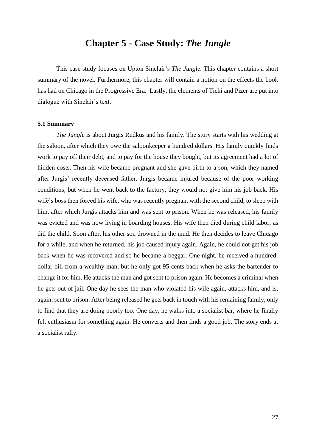# **Chapter 5 - Case Study:** *The Jungle*

This case study focuses on Upton Sinclair's *The Jungle.* This chapter contains a short summary of the novel. Furthermore, this chapter will contain a notion on the effects the book has had on Chicago in the Progressive Era. Lastly, the elements of Tichi and Pizer are put into dialogue with Sinclair's text.

### **5.1 Summary**

*The Jungle* is about Jurgis Rudkus and his family. The story starts with his wedding at the saloon, after which they owe the saloonkeeper a hundred dollars. His family quickly finds work to pay off their debt, and to pay for the house they bought, but its agreement had a lot of hidden costs. Then his wife became pregnant and she gave birth to a son, which they named after Jurgis' recently deceased father. Jurgis became injured because of the poor working conditions, but when he went back to the factory, they would not give him his job back. His wife's boss then forced his wife, who was recently pregnant with the second child, to sleep with him, after which Jurgis attacks him and was sent to prison. When he was released, his family was evicted and was now living in boarding houses. His wife then died during child labor, as did the child. Soon after, his other son drowned in the mud. He then decides to leave Chicago for a while, and when he returned, his job caused injury again. Again, he could not get his job back when he was recovered and so he became a beggar. One night, he received a hundreddollar bill from a wealthy man, but he only got 95 cents back when he asks the bartender to change it for him. He attacks the man and got sent to prison again. He becomes a criminal when he gets out of jail. One day he sees the man who violated his wife again, attacks him, and is, again, sent to prison. After being released he gets back in touch with his remaining family, only to find that they are doing poorly too. One day, he walks into a socialist bar, where he finally felt enthusiasm for something again. He converts and then finds a good job. The story ends at a socialist rally.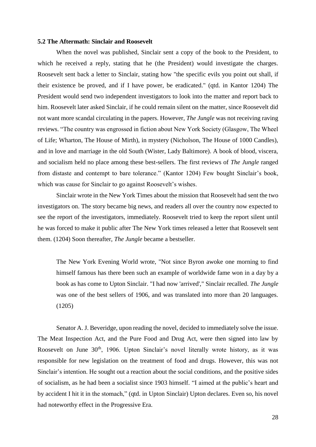### **5.2 The Aftermath: Sinclair and Roosevelt**

When the novel was published, Sinclair sent a copy of the book to the President, to which he received a reply, stating that he (the President) would investigate the charges. Roosevelt sent back a letter to Sinclair, stating how "the specific evils you point out shall, if their existence be proved, and if I have power, be eradicated." (qtd. in Kantor 1204) The President would send two independent investigators to look into the matter and report back to him. Roosevelt later asked Sinclair, if he could remain silent on the matter, since Roosevelt did not want more scandal circulating in the papers. However, *The Jungle* was not receiving raving reviews. "The country was engrossed in fiction about New York Society (Glasgow, The Wheel of Life; Wharton, The House of Mirth), in mystery (Nicholson, The House of 1000 Candles), and in love and marriage in the old South (Wister, Lady Baltimore). A book of blood, viscera, and socialism held no place among these best-sellers. The first reviews of *The Jungle* ranged from distaste and contempt to bare tolerance." (Kantor 1204) Few bought Sinclair's book, which was cause for Sinclair to go against Roosevelt's wishes.

Sinclair wrote in the New York Times about the mission that Roosevelt had sent the two investigators on. The story became big news, and readers all over the country now expected to see the report of the investigators, immediately. Roosevelt tried to keep the report silent until he was forced to make it public after The New York times released a letter that Roosevelt sent them. (1204) Soon thereafter, *The Jungle* became a bestseller.

The New York Evening World wrote, "Not since Byron awoke one morning to find himself famous has there been such an example of worldwide fame won in a day by a book as has come to Upton Sinclair. "I had now 'arrived'," Sinclair recalled. *The Jungle*  was one of the best sellers of 1906, and was translated into more than 20 languages. (1205)

Senator A. J. Beveridge, upon reading the novel, decided to immediately solve the issue. The Meat Inspection Act, and the Pure Food and Drug Act, were then signed into law by Roosevelt on June 30<sup>th</sup>, 1906. Upton Sinclair's novel literally wrote history, as it was responsible for new legislation on the treatment of food and drugs. However, this was not Sinclair's intention. He sought out a reaction about the social conditions, and the positive sides of socialism, as he had been a socialist since 1903 himself. "I aimed at the public's heart and by accident I hit it in the stomach," (qtd. in Upton Sinclair) Upton declares. Even so, his novel had noteworthy effect in the Progressive Era.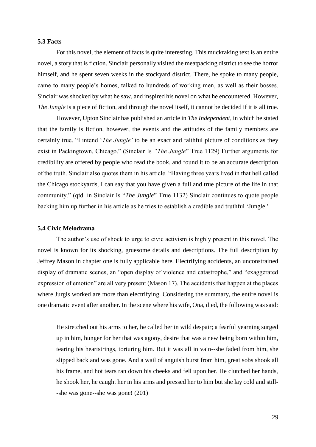#### **5.3 Facts**

For this novel, the element of facts is quite interesting. This muckraking text is an entire novel, a story that is fiction. Sinclair personally visited the meatpacking district to see the horror himself, and he spent seven weeks in the stockyard district. There, he spoke to many people, came to many people's homes, talked to hundreds of working men, as well as their bosses. Sinclair was shocked by what he saw, and inspired his novel on what he encountered. However, *The Jungle* is a piece of fiction, and through the novel itself, it cannot be decided if it is all true.

However, Upton Sinclair has published an article in *The Independent,* in which he stated that the family is fiction, however, the events and the attitudes of the family members are certainly true. "I intend '*The Jungle'* to be an exact and faithful picture of conditions as they exist in Packingtown, Chicago." (Sinclair Is *"The Jungle*" True 1129) Further arguments for credibility are offered by people who read the book, and found it to be an accurate description of the truth. Sinclair also quotes them in his article. "Having three years lived in that hell called the Chicago stockyards, I can say that you have given a full and true picture of the life in that community." (qtd. in Sinclair Is "*The Jungle*" True 1132) Sinclair continues to quote people backing him up further in his article as he tries to establish a credible and truthful 'Jungle.'

#### **5.4 Civic Melodrama**

The author's use of shock to urge to civic activism is highly present in this novel. The novel is known for its shocking, gruesome details and descriptions. The full description by Jeffrey Mason in chapter one is fully applicable here. Electrifying accidents, an unconstrained display of dramatic scenes, an "open display of violence and catastrophe," and "exaggerated expression of emotion" are all very present (Mason 17). The accidents that happen at the places where Jurgis worked are more than electrifying. Considering the summary, the entire novel is one dramatic event after another. In the scene where his wife, Ona, died, the following was said:

He stretched out his arms to her, he called her in wild despair; a fearful yearning surged up in him, hunger for her that was agony, desire that was a new being born within him, tearing his heartstrings, torturing him. But it was all in vain--she faded from him, she slipped back and was gone. And a wail of anguish burst from him, great sobs shook all his frame, and hot tears ran down his cheeks and fell upon her. He clutched her hands, he shook her, he caught her in his arms and pressed her to him but she lay cold and still- -she was gone--she was gone! (201)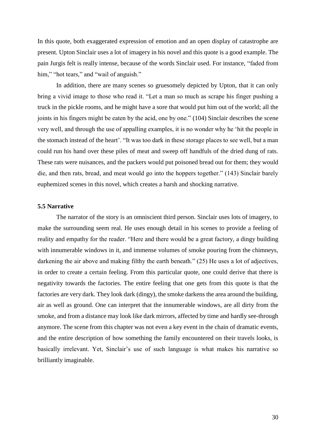In this quote, both exaggerated expression of emotion and an open display of catastrophe are present. Upton Sinclair uses a lot of imagery in his novel and this quote is a good example. The pain Jurgis felt is really intense, because of the words Sinclair used. For instance, "faded from him," "hot tears," and "wail of anguish."

In addition, there are many scenes so gruesomely depicted by Upton, that it can only bring a vivid image to those who read it. "Let a man so much as scrape his finger pushing a truck in the pickle rooms, and he might have a sore that would put him out of the world; all the joints in his fingers might be eaten by the acid, one by one." (104) Sinclair describes the scene very well, and through the use of appalling examples, it is no wonder why he 'hit the people in the stomach instead of the heart'. "It was too dark in these storage places to see well, but a man could run his hand over these piles of meat and sweep off handfuls of the dried dung of rats. These rats were nuisances, and the packers would put poisoned bread out for them; they would die, and then rats, bread, and meat would go into the hoppers together." (143) Sinclair barely euphemized scenes in this novel, which creates a harsh and shocking narrative.

#### **5.5 Narrative**

The narrator of the story is an omniscient third person. Sinclair uses lots of imagery, to make the surrounding seem real. He uses enough detail in his scenes to provide a feeling of reality and empathy for the reader. "Here and there would be a great factory, a dingy building with innumerable windows in it, and immense volumes of smoke pouring from the chimneys, darkening the air above and making filthy the earth beneath." (25) He uses a lot of adjectives, in order to create a certain feeling. From this particular quote, one could derive that there is negativity towards the factories. The entire feeling that one gets from this quote is that the factories are very dark. They look dark (dingy), the smoke darkens the area around the building, air as well as ground. One can interpret that the innumerable windows, are all dirty from the smoke, and from a distance may look like dark mirrors, affected by time and hardly see-through anymore. The scene from this chapter was not even a key event in the chain of dramatic events, and the entire description of how something the family encountered on their travels looks, is basically irrelevant. Yet, Sinclair's use of such language is what makes his narrative so brilliantly imaginable.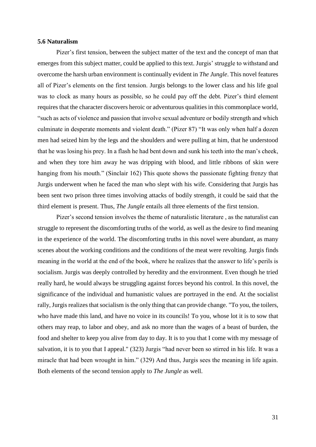#### **5.6 Naturalism**

Pizer's first tension, between the subject matter of the text and the concept of man that emerges from this subject matter, could be applied to this text. Jurgis' struggle to withstand and overcome the harsh urban environment is continually evident in *The Jungle*. This novel features all of Pizer's elements on the first tension. Jurgis belongs to the lower class and his life goal was to clock as many hours as possible, so he could pay off the debt. Pizer's third element requires that the character discovers heroic or adventurous qualities in this commonplace world, "such as acts of violence and passion that involve sexual adventure or bodily strength and which culminate in desperate moments and violent death." (Pizer 87) "It was only when half a dozen men had seized him by the legs and the shoulders and were pulling at him, that he understood that he was losing his prey. In a flash he had bent down and sunk his teeth into the man's cheek, and when they tore him away he was dripping with blood, and little ribbons of skin were hanging from his mouth." (Sinclair 162) This quote shows the passionate fighting frenzy that Jurgis underwent when he faced the man who slept with his wife. Considering that Jurgis has been sent two prison three times involving attacks of bodily strength, it could be said that the third element is present. Thus, *The Jungle* entails all three elements of the first tension.

Pizer's second tension involves the theme of naturalistic literature , as the naturalist can struggle to represent the discomforting truths of the world, as well as the desire to find meaning in the experience of the world. The discomforting truths in this novel were abundant, as many scenes about the working conditions and the conditions of the meat were revolting. Jurgis finds meaning in the world at the end of the book, where he realizes that the answer to life's perils is socialism. Jurgis was deeply controlled by heredity and the environment. Even though he tried really hard, he would always be struggling against forces beyond his control. In this novel, the significance of the individual and humanistic values are portrayed in the end. At the socialist rally, Jurgis realizes that socialism is the only thing that can provide change. "To you, the toilers, who have made this land, and have no voice in its councils! To you, whose lot it is to sow that others may reap, to labor and obey, and ask no more than the wages of a beast of burden, the food and shelter to keep you alive from day to day. It is to you that I come with my message of salvation, it is to you that I appeal." (323) Jurgis "had never been so stirred in his life. It was a miracle that had been wrought in him." (329) And thus, Jurgis sees the meaning in life again. Both elements of the second tension apply to *The Jungle* as well.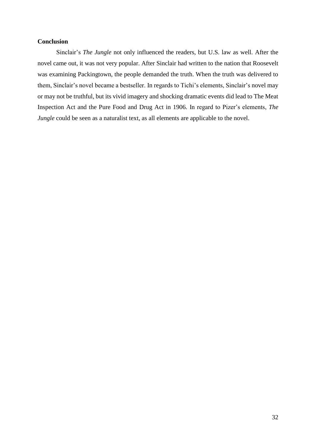## **Conclusion**

Sinclair's *The Jungle* not only influenced the readers, but U.S. law as well. After the novel came out, it was not very popular. After Sinclair had written to the nation that Roosevelt was examining Packingtown, the people demanded the truth. When the truth was delivered to them, Sinclair's novel became a bestseller. In regards to Tichi's elements, Sinclair's novel may or may not be truthful, but its vivid imagery and shocking dramatic events did lead to The Meat Inspection Act and the Pure Food and Drug Act in 1906. In regard to Pizer's elements, *The Jungle* could be seen as a naturalist text, as all elements are applicable to the novel.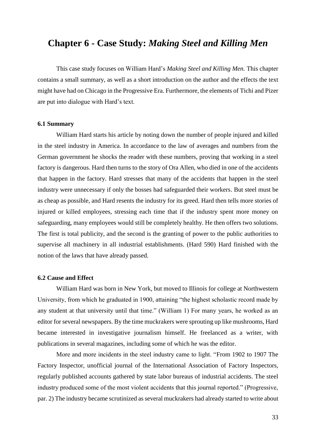# **Chapter 6 - Case Study:** *Making Steel and Killing Men*

This case study focuses on William Hard's *Making Steel and Killing Men.* This chapter contains a small summary, as well as a short introduction on the author and the effects the text might have had on Chicago in the Progressive Era. Furthermore, the elements of Tichi and Pizer are put into dialogue with Hard's text.

#### **6.1 Summary**

William Hard starts his article by noting down the number of people injured and killed in the steel industry in America. In accordance to the law of averages and numbers from the German government he shocks the reader with these numbers, proving that working in a steel factory is dangerous. Hard then turns to the story of Ora Allen, who died in one of the accidents that happen in the factory. Hard stresses that many of the accidents that happen in the steel industry were unnecessary if only the bosses had safeguarded their workers. But steel must be as cheap as possible, and Hard resents the industry for its greed. Hard then tells more stories of injured or killed employees, stressing each time that if the industry spent more money on safeguarding, many employees would still be completely healthy. He then offers two solutions. The first is total publicity, and the second is the granting of power to the public authorities to supervise all machinery in all industrial establishments. (Hard 590) Hard finished with the notion of the laws that have already passed.

### **6.2 Cause and Effect**

William Hard was born in New York, but moved to Illinois for college at Northwestern University, from which he graduated in 1900, attaining "the highest scholastic record made by any student at that university until that time." (William 1) For many years, he worked as an editor for several newspapers. By the time muckrakers were sprouting up like mushrooms, Hard became interested in investigative journalism himself. He freelanced as a writer, with publications in several magazines, including some of which he was the editor.

More and more incidents in the steel industry came to light. "From 1902 to 1907 The Factory Inspector, unofficial journal of the International Association of Factory Inspectors, regularly published accounts gathered by state labor bureaus of industrial accidents. The steel industry produced some of the most violent accidents that this journal reported." (Progressive, par. 2) The industry became scrutinized as several muckrakers had already started to write about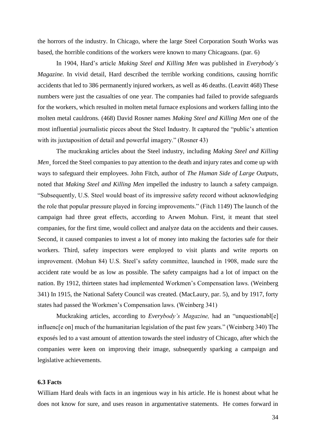the horrors of the industry. In Chicago, where the large Steel Corporation South Works was based, the horrible conditions of the workers were known to many Chicagoans. (par. 6)

In 1904, Hard's article *Making Steel and Killing Men* was published in *Everybody´s Magazine*. In vivid detail, Hard described the terrible working conditions, causing horrific accidents that led to 386 permanently injured workers, as well as 46 deaths. (Leavitt 468) These numbers were just the casualties of one year. The companies had failed to provide safeguards for the workers, which resulted in molten metal furnace explosions and workers falling into the molten metal cauldrons. (468) David Rosner names *Making Steel and Killing Men* one of the most influential journalistic pieces about the Steel Industry. It captured the "public's attention with its juxtaposition of detail and powerful imagery." (Rosner 43)

The muckraking articles about the Steel industry, including *Making Steel and Killing Men¸* forced the Steel companies to pay attention to the death and injury rates and come up with ways to safeguard their employees. John Fitch, author of *The Human Side of Large Outputs*, noted that *Making Steel and Killing Men* impelled the industry to launch a safety campaign. "Subsequently, U.S. Steel would boast of its impressive safety record without acknowledging the role that popular pressure played in forcing improvements." (Fitch 1149) The launch of the campaign had three great effects, according to Arwen Mohun. First, it meant that steel companies, for the first time, would collect and analyze data on the accidents and their causes. Second, it caused companies to invest a lot of money into making the factories safe for their workers. Third, safety inspectors were employed to visit plants and write reports on improvement. (Mohun 84) U.S. Steel's safety committee, launched in 1908, made sure the accident rate would be as low as possible. The safety campaigns had a lot of impact on the nation. By 1912, thirteen states had implemented Workmen's Compensation laws. (Weinberg 341) In 1915, the National Safety Council was created. (MacLaury, par. 5), and by 1917, forty states had passed the Workmen's Compensation laws. (Weinberg 341)

Muckraking articles, according to *Everybody's Magazine,* had an "unquestionabl[e] influenc[e on] much of the humanitarian legislation of the past few years." (Weinberg 340) The exposés led to a vast amount of attention towards the steel industry of Chicago, after which the companies were keen on improving their image, subsequently sparking a campaign and legislative achievements.

### **6.3 Facts**

William Hard deals with facts in an ingenious way in his article. He is honest about what he does not know for sure, and uses reason in argumentative statements. He comes forward in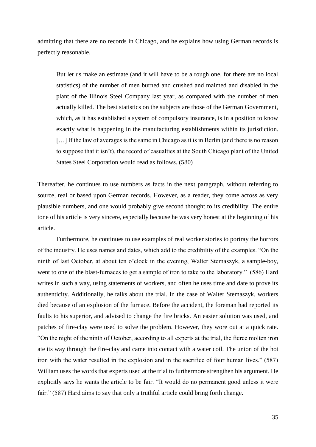admitting that there are no records in Chicago, and he explains how using German records is perfectly reasonable.

But let us make an estimate (and it will have to be a rough one, for there are no local statistics) of the number of men burned and crushed and maimed and disabled in the plant of the Illinois Steel Company last year, as compared with the number of men actually killed. The best statistics on the subjects are those of the German Government, which, as it has established a system of compulsory insurance, is in a position to know exactly what is happening in the manufacturing establishments within its jurisdiction. [...] If the law of averages is the same in Chicago as it is in Berlin (and there is no reason to suppose that it isn't), the record of casualties at the South Chicago plant of the United States Steel Corporation would read as follows. (580)

Thereafter, he continues to use numbers as facts in the next paragraph, without referring to source, real or based upon German records. However, as a reader, they come across as very plausible numbers, and one would probably give second thought to its credibility. The entire tone of his article is very sincere, especially because he was very honest at the beginning of his article.

Furthermore, he continues to use examples of real worker stories to portray the horrors of the industry. He uses names and dates, which add to the credibility of the examples. "On the ninth of last October, at about ten o'clock in the evening, Walter Stemaszyk, a sample-boy, went to one of the blast-furnaces to get a sample of iron to take to the laboratory." (586) Hard writes in such a way, using statements of workers, and often he uses time and date to prove its authenticity. Additionally, he talks about the trial. In the case of Walter Stemaszyk, workers died because of an explosion of the furnace. Before the accident, the foreman had reported its faults to his superior, and advised to change the fire bricks. An easier solution was used, and patches of fire-clay were used to solve the problem. However, they wore out at a quick rate. "On the night of the ninth of October, according to all experts at the trial, the fierce molten iron ate its way through the fire-clay and came into contact with a water coil. The union of the hot iron with the water resulted in the explosion and in the sacrifice of four human lives." (587) William uses the words that experts used at the trial to furthermore strengthen his argument. He explicitly says he wants the article to be fair. "It would do no permanent good unless it were fair." (587) Hard aims to say that only a truthful article could bring forth change.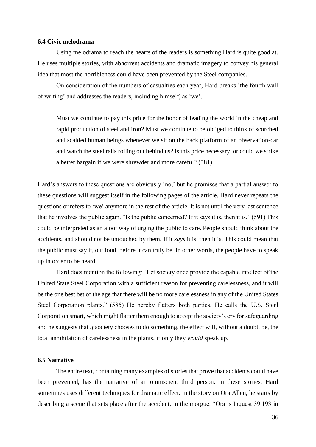#### **6.4 Civic melodrama**

Using melodrama to reach the hearts of the readers is something Hard is quite good at. He uses multiple stories, with abhorrent accidents and dramatic imagery to convey his general idea that most the horribleness could have been prevented by the Steel companies.

On consideration of the numbers of casualties each year, Hard breaks 'the fourth wall of writing' and addresses the readers, including himself, as 'we'.

Must we continue to pay this price for the honor of leading the world in the cheap and rapid production of steel and iron? Must we continue to be obliged to think of scorched and scalded human beings whenever we sit on the back platform of an observation-car and watch the steel rails rolling out behind us? Is this price necessary, or could we strike a better bargain if we were shrewder and more careful? (581)

Hard's answers to these questions are obviously 'no,' but he promises that a partial answer to these questions will suggest itself in the following pages of the article. Hard never repeats the questions or refers to 'we' anymore in the rest of the article. It is not until the very last sentence that he involves the public again. "Is the public concerned? If it says it is, then it is." (591) This could be interpreted as an aloof way of urging the public to care. People should think about the accidents, and should not be untouched by them. If it *says* it is, then it is. This could mean that the public must say it, out loud, before it can truly be. In other words, the people have to speak up in order to be heard.

Hard does mention the following: "Let society once provide the capable intellect of the United State Steel Corporation with a sufficient reason for preventing carelessness, and it will be the one best bet of the age that there will be no more carelessness in any of the United States Steel Corporation plants." (585) He hereby flatters both parties. He calls the U.S. Steel Corporation smart, which might flatter them enough to accept the society's cry for safeguarding and he suggests that *if* society chooses to do something, the effect will, without a doubt, be, the total annihilation of carelessness in the plants, if only they *would* speak up.

### **6.5 Narrative**

The entire text, containing many examples of stories that prove that accidents could have been prevented, has the narrative of an omniscient third person. In these stories, Hard sometimes uses different techniques for dramatic effect. In the story on Ora Allen, he starts by describing a scene that sets place after the accident, in the morgue. "Ora is Inquest 39.193 in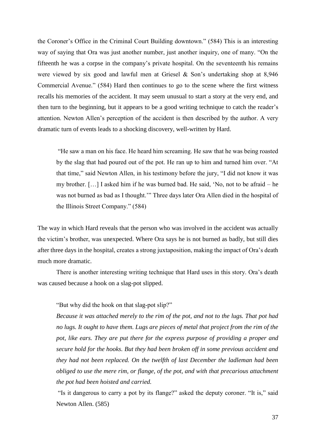the Coroner's Office in the Criminal Court Building downtown." (584) This is an interesting way of saying that Ora was just another number, just another inquiry, one of many. "On the fifteenth he was a corpse in the company's private hospital. On the seventeenth his remains were viewed by six good and lawful men at Griesel & Son's undertaking shop at 8,946 Commercial Avenue." (584) Hard then continues to go to the scene where the first witness recalls his memories of the accident. It may seem unusual to start a story at the very end, and then turn to the beginning, but it appears to be a good writing technique to catch the reader's attention. Newton Allen's perception of the accident is then described by the author. A very dramatic turn of events leads to a shocking discovery, well-written by Hard.

"He saw a man on his face. He heard him screaming. He saw that he was being roasted by the slag that had poured out of the pot. He ran up to him and turned him over. "At that time," said Newton Allen, in his testimony before the jury, "I did not know it was my brother. […] I asked him if he was burned bad. He said, 'No, not to be afraid – he was not burned as bad as I thought.'" Three days later Ora Allen died in the hospital of the Illinois Street Company." (584)

The way in which Hard reveals that the person who was involved in the accident was actually the victim's brother, was unexpected. Where Ora says he is not burned as badly, but still dies after three days in the hospital, creates a strong juxtaposition, making the impact of Ora's death much more dramatic.

There is another interesting writing technique that Hard uses in this story. Ora's death was caused because a hook on a slag-pot slipped.

"But why did the hook on that slag-pot slip?"

*Because it was attached merely to the rim of the pot, and not to the lugs. That pot had no lugs. It ought to have them. Lugs are pieces of metal that project from the rim of the pot, like ears. They are put there for the express purpose of providing a proper and secure hold for the hooks. But they had been broken off in some previous accident and they had not been replaced. On the twelfth of last December the ladleman had been obliged to use the mere rim, or flange, of the pot, and with that precarious attachment the pot had been hoisted and carried.*

"Is it dangerous to carry a pot by its flange?" asked the deputy coroner. "It is," said Newton Allen. (585)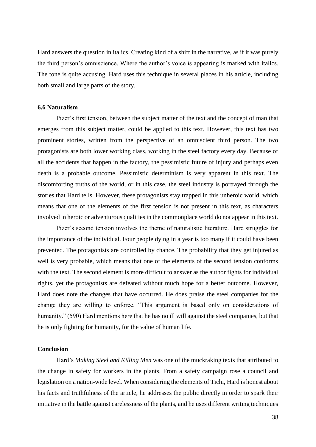Hard answers the question in italics. Creating kind of a shift in the narrative, as if it was purely the third person's omniscience. Where the author's voice is appearing is marked with italics. The tone is quite accusing. Hard uses this technique in several places in his article, including both small and large parts of the story.

#### **6.6 Naturalism**

Pizer's first tension, between the subject matter of the text and the concept of man that emerges from this subject matter, could be applied to this text. However, this text has two prominent stories, written from the perspective of an omniscient third person. The two protagonists are both lower working class, working in the steel factory every day. Because of all the accidents that happen in the factory, the pessimistic future of injury and perhaps even death is a probable outcome. Pessimistic determinism is very apparent in this text. The discomforting truths of the world, or in this case, the steel industry is portrayed through the stories that Hard tells. However, these protagonists stay trapped in this unheroic world, which means that one of the elements of the first tension is not present in this text, as characters involved in heroic or adventurous qualities in the commonplace world do not appear in this text.

Pizer's second tension involves the theme of naturalistic literature. Hard struggles for the importance of the individual. Four people dying in a year is too many if it could have been prevented. The protagonists are controlled by chance. The probability that they get injured as well is very probable, which means that one of the elements of the second tension conforms with the text. The second element is more difficult to answer as the author fights for individual rights, yet the protagonists are defeated without much hope for a better outcome. However, Hard does note the changes that have occurred. He does praise the steel companies for the change they are willing to enforce. "This argument is based only on considerations of humanity." (590) Hard mentions here that he has no ill will against the steel companies, but that he is only fighting for humanity, for the value of human life.

### **Conclusion**

Hard's *Making Steel and Killing Men* was one of the muckraking texts that attributed to the change in safety for workers in the plants. From a safety campaign rose a council and legislation on a nation-wide level. When considering the elements of Tichi, Hard is honest about his facts and truthfulness of the article, he addresses the public directly in order to spark their initiative in the battle against carelessness of the plants, and he uses different writing techniques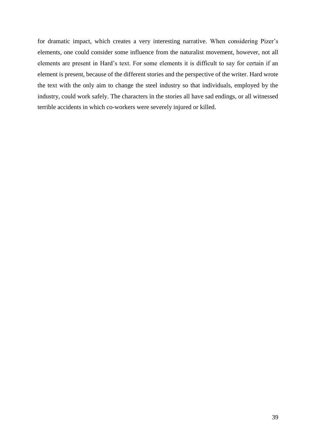for dramatic impact, which creates a very interesting narrative. When considering Pizer's elements, one could consider some influence from the naturalist movement, however, not all elements are present in Hard's text. For some elements it is difficult to say for certain if an element is present, because of the different stories and the perspective of the writer. Hard wrote the text with the only aim to change the steel industry so that individuals, employed by the industry, could work safely. The characters in the stories all have sad endings, or all witnessed terrible accidents in which co-workers were severely injured or killed.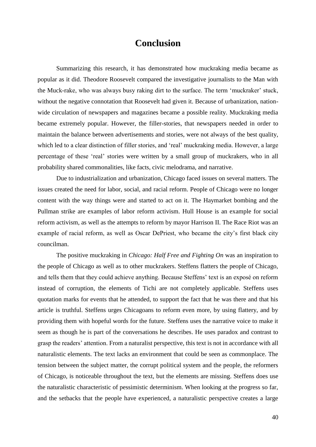# **Conclusion**

Summarizing this research, it has demonstrated how muckraking media became as popular as it did. Theodore Roosevelt compared the investigative journalists to the Man with the Muck-rake, who was always busy raking dirt to the surface. The term 'muckraker' stuck, without the negative connotation that Roosevelt had given it. Because of urbanization, nationwide circulation of newspapers and magazines became a possible reality. Muckraking media became extremely popular. However, the filler-stories, that newspapers needed in order to maintain the balance between advertisements and stories, were not always of the best quality, which led to a clear distinction of filler stories, and 'real' muckraking media. However, a large percentage of these 'real' stories were written by a small group of muckrakers, who in all probability shared commonalities, like facts, civic melodrama, and narrative.

Due to industrialization and urbanization, Chicago faced issues on several matters. The issues created the need for labor, social, and racial reform. People of Chicago were no longer content with the way things were and started to act on it. The Haymarket bombing and the Pullman strike are examples of labor reform activism. Hull House is an example for social reform activism, as well as the attempts to reform by mayor Harrison II. The Race Riot was an example of racial reform, as well as Oscar DePriest, who became the city's first black city councilman.

The positive muckraking in *Chicago: Half Free and Fighting On* was an inspiration to the people of Chicago as well as to other muckrakers. Steffens flatters the people of Chicago, and tells them that they could achieve anything. Because Steffens' text is an exposé on reform instead of corruption, the elements of Tichi are not completely applicable. Steffens uses quotation marks for events that he attended, to support the fact that he was there and that his article is truthful. Steffens urges Chicagoans to reform even more, by using flattery, and by providing them with hopeful words for the future. Steffens uses the narrative voice to make it seem as though he is part of the conversations he describes. He uses paradox and contrast to grasp the readers' attention. From a naturalist perspective, this text is not in accordance with all naturalistic elements. The text lacks an environment that could be seen as commonplace. The tension between the subject matter, the corrupt political system and the people, the reformers of Chicago, is noticeable throughout the text, but the elements are missing. Steffens does use the naturalistic characteristic of pessimistic determinism. When looking at the progress so far, and the setbacks that the people have experienced, a naturalistic perspective creates a large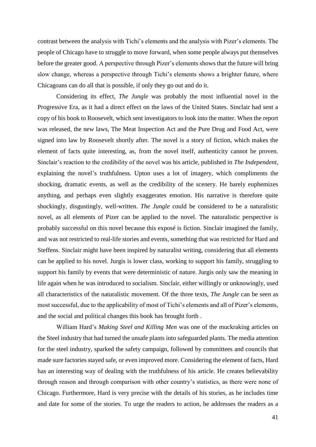contrast between the analysis with Tichi's elements and the analysis with Pizer's elements. The people of Chicago have to struggle to move forward, when some people always put themselves before the greater good. A perspective through Pizer's elements shows that the future will bring slow change, whereas a perspective through Tichi's elements shows a brighter future, where Chicagoans can do all that is possible, if only they go out and do it.

Considering its effect, *The Jungle* was probably the most influential novel in the Progressive Era, as it had a direct effect on the laws of the United States. Sinclair had sent a copy of his book to Roosevelt, which sent investigators to look into the matter. When the report was released, the new laws, The Meat Inspection Act and the Pure Drug and Food Act, were signed into law by Roosevelt shortly after. The novel is a story of fiction, which makes the element of facts quite interesting, as, from the novel itself, authenticity cannot be proven. Sinclair's reaction to the credibility of the novel was his article, published in *The Independent*, explaining the novel's truthfulness. Upton uses a lot of imagery, which compliments the shocking, dramatic events, as well as the credibility of the scenery. He barely euphemizes anything, and perhaps even slightly exaggerates emotion. His narrative is therefore quite shockingly, disgustingly, well-written. *The Jungle* could be considered to be a naturalistic novel, as all elements of Pizer can be applied to the novel. The naturalistic perspective is probably successful on this novel because this exposé is fiction. Sinclair imagined the family, and was not restricted to real-life stories and events, something that was restricted for Hard and Steffens. Sinclair might have been inspired by naturalist writing, considering that all elements can be applied to his novel. Jurgis is lower class, working to support his family, struggling to support his family by events that were deterministic of nature. Jurgis only saw the meaning in life again when he was introduced to socialism. Sinclair, either willingly or unknowingly, used all characteristics of the naturalistic movement. Of the three texts, *The Jungle* can be seen as most successful, due to the applicability of most of Tichi's elements and all of Pizer's elements, and the social and political changes this book has brought forth .

William Hard's *Making Steel and Killing Men* was one of the muckraking articles on the Steel industry that had turned the unsafe plants into safeguarded plants. The media attention for the steel industry, sparked the safety campaign, followed by committees and councils that made sure factories stayed safe, or even improved more. Considering the element of facts, Hard has an interesting way of dealing with the truthfulness of his article. He creates believability through reason and through comparison with other country's statistics, as there were none of Chicago. Furthermore, Hard is very precise with the details of his stories, as he includes time and date for some of the stories. To urge the readers to action, he addresses the readers as a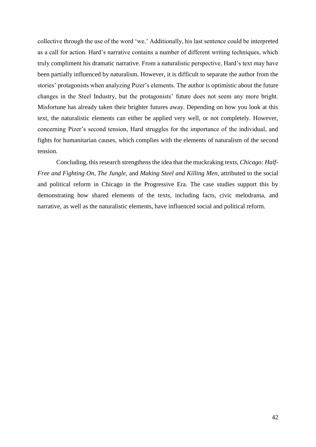collective through the use of the word 'we.' Additionally, his last sentence could be interpreted as a call for action. Hard's narrative contains a number of different writing techniques, which truly compliment his dramatic narrative. From a naturalistic perspective, Hard's text may have been partially influenced by naturalism. However, it is difficult to separate the author from the stories' protagonists when analyzing Pizer's elements. The author is optimistic about the future changes in the Steel Industry, but the protagonists' future does not seem any more bright. Misfortune has already taken their brighter futures away. Depending on how you look at this text, the naturalistic elements can either be applied very well, or not completely. However, concerning Pizer's second tension, Hard struggles for the importance of the individual, and fights for humanitarian causes, which complies with the elements of naturalism of the second tension.

Concluding, this research strengthens the idea that the muckraking texts, *Chicago: Half-Free and Fighting On*, *The Jungle,* and *Making Steel and Killing Men*, attributed to the social and political reform in Chicago in the Progressive Era. The case studies support this by demonstrating how shared elements of the texts, including facts, civic melodrama, and narrative, as well as the naturalistic elements, have influenced social and political reform.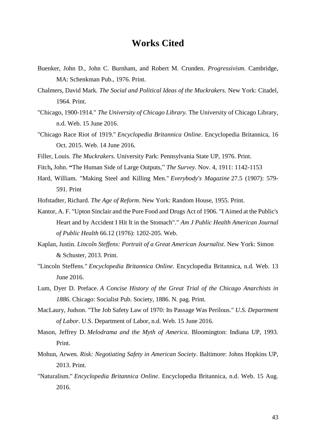# **Works Cited**

- Buenker, John D., John C. Burnham, and Robert M. Crunden. *Progressivism.* Cambridge, MA: Schenkman Pub., 1976. Print.
- Chalmers, David Mark. *The Social and Political Ideas of the Muckrakers.* New York: Citadel, 1964. Print.
- "Chicago, 1900-1914." *The University of Chicago Library.* The University of Chicago Library, n.d. Web. 15 June 2016.
- "Chicago Race Riot of 1919." *Encyclopedia Britannica Online*. Encyclopedia Britannica, 16 Oct. 2015. Web. 14 June 2016.
- Filler, Louis. *The Muckrakers*. University Park: Pennsylvania State UP, 1976. Print.
- Fitch**,** John. **"**The Human Side of Large Outputs," *The Survey*. Nov. 4, 1911: 1142-1153
- Hard, William. "Making Steel and Killing Men." *Everybody's Magazine* 27.5 (1907): 579- 591. Print
- Hofstadter, Richard. *The Age of Reform*. New York: Random House, 1955. Print.
- Kantor, A. F. "Upton Sinclair and the Pure Food and Drugs Act of 1906. "I Aimed at the Public's Heart and by Accident I Hit It in the Stomach"." *Am J Public Health American Journal of Public Health* 66.12 (1976): 1202-205. Web.
- Kaplan, Justin. *Lincoln Steffens: Portrait of a Great American Journalist*. New York: Simon & Schuster, 2013. Print.
- "Lincoln Steffens." *Encyclopedia Britannica Online*. Encyclopedia Britannica, n.d. Web. 13 June 2016.
- Lum, Dyer D. Preface. *A Concise History of the Great Trial of the Chicago Anarchists in 1886*. Chicago: Socialist Pub. Society, 1886. N. pag. Print.
- MacLaury, Judson. "The Job Safety Law of 1970: Its Passage Was Perilous." *U.S. Department of Labor*. U.S. Department of Labor, n.d. Web. 15 June 2016.
- Mason, Jeffrey D. *Melodrama and the Myth of America*. Bloomington: Indiana UP, 1993. Print.
- Mohun, Arwen. *Risk: Negotiating Safety in American Society*. Baltimore: Johns Hopkins UP, 2013. Print.
- "Naturalism." *Encyclopedia Britannica Online*. Encyclopedia Britannica, n.d. Web. 15 Aug. 2016.